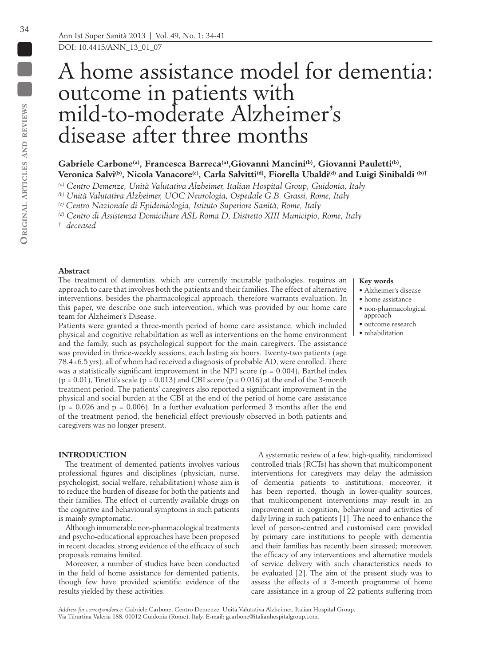DOI: 10.4415/ANN\_13\_01\_07

# A home assistance model for dementia: outcome in patients with mild-to-moderate Alzheimer's disease after three months

# Gabriele Carbone<sup>(a)</sup>, Francesca Barreca<sup>(a)</sup>, Giovanni Mancini<sup>(b)</sup>, Giovanni Pauletti<sup>(b)</sup>, Veronica Salvi<sup>(b)</sup>, Nicola Vanacore<sup>(c)</sup>, Carla Salvitti<sup>(d)</sup>, Fiorella Ubaldi<sup>(d)</sup> and Luigi Sinibaldi<sup>(b)†</sup>

*(a) Centro Demenze, Unità Valutativa Alzheimer, Italian Hospital Group, Guidonia, Italy*

*(b) Unità Valutativa Alzheimer, UOC Neurologia, Ospedale G.B. Grassi, Rome, Italy*

*(c) Centro Nazionale di Epidemiologia, Istituto Superiore Sanità, Rome, Italy*

*(d) Centro di Assistenza Domiciliare ASL Roma D, Distretto XIII Municipio, Rome, Italy* 

*† deceased*

## **Abstract**

The treatment of dementias, which are currently incurable pathologies, requires an approach to care that involves both the patients and their families. The effect of alternative interventions, besides the pharmacological approach, therefore warrants evaluation. In this paper, we describe one such intervention, which was provided by our home care team for Alzheimer's Disease.

Patients were granted a three-month period of home care assistance, which included physical and cognitive rehabilitation as well as interventions on the home environment and the family, such as psychological support for the main caregivers. The assistance was provided in thrice-weekly sessions, each lasting six hours. Twenty-two patients (age 78.4±6.5 yrs), all of whom had received a diagnosis of probable AD, were enrolled. There was a statistically significant improvement in the NPI score ( $p = 0.004$ ), Barthel index  $(p = 0.01)$ , Tinetti's scale  $(p = 0.013)$  and CBI score  $(p = 0.016)$  at the end of the 3-month treatment period. The patients' caregivers also reported a significant improvement in the physical and social burden at the CBI at the end of the period of home care assistance  $(p = 0.026$  and  $p = 0.006$ ). In a further evaluation performed 3 months after the end of the treatment period, the beneficial effect previously observed in both patients and caregivers was no longer present.

#### **INTRODUCTION**

The treatment of demented patients involves various professional figures and disciplines (physician, nurse, psychologist, social welfare, rehabilitation) whose aim is to reduce the burden of disease for both the patients and their families. The effect of currently available drugs on the cognitive and behavioural symptoms in such patients is mainly symptomatic.

Although innumerable non-pharmacological treatments and psycho-educational approaches have been proposed in recent decades, strong evidence of the efficacy of such proposals remains limited.

Moreover, a number of studies have been conducted in the field of home assistance for demented patients, though few have provided scientific evidence of the results yielded by these activities.

A systematic review of a few, high-quality, randomized controlled trials (RCTs) has shown that multicomponent interventions for caregivers may delay the admission of dementia patients to institutions; moreover, it has been reported, though in lower-quality sources, that multicomponent interventions may result in an improvement in cognition, behaviour and activities of daily living in such patients [1]. The need to enhance the level of person-centred and customised care provided by primary care institutions to people with dementia and their families has recently been stressed; moreover, the efficacy of any interventions and alternative models of service delivery with such characteristics needs to be evaluated [2]. The aim of the present study was to assess the effects of a 3-month programme of home care assistance in a group of 22 patients suffering from

*Address for correspondence*: Gabriele Carbone, Centro Demenze, Unità Valutativa Alzheimer, Italian Hospital Group, Via Tiburtina Valeria 188, 00012 Guidonia (Rome), Italy. E-mail: gcarbone@italianhospitalgroup.com.

## **Key words**

- Alzheimer's disease
- home assistance
- non-pharmacological approach
- outcome research
- rehabilitation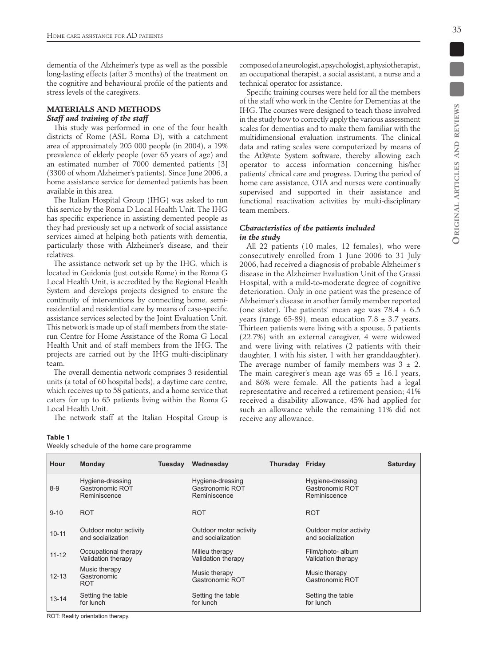dementia of the Alzheimer's type as well as the possible long-lasting effects (after 3 months) of the treatment on the cognitive and behavioural profile of the patients and stress levels of the caregivers.

# **MATERIALS AND METHODS** *Staff and training of the staff*

This study was performed in one of the four health districts of Rome (ASL Roma D), with a catchment area of approximately 205 000 people (in 2004), a 19% prevalence of elderly people (over 65 years of age) and an estimated number of 7000 demented patients [3] (3300 of whom Alzheimer's patients). Since June 2006, a home assistance service for demented patients has been available in this area.

The Italian Hospital Group (IHG) was asked to run this service by the Roma D Local Health Unit. The IHG has specific experience in assisting demented people as they had previously set up a network of social assistance services aimed at helping both patients with dementia, particularly those with Alzheimer's disease, and their relatives.

The assistance network set up by the IHG, which is located in Guidonia (just outside Rome) in the Roma G Local Health Unit, is accredited by the Regional Health System and develops projects designed to ensure the continuity of interventions by connecting home, semiresidential and residential care by means of case-specific assistance services selected by the Joint Evaluation Unit. This network is made up of staff members from the staterun Centre for Home Assistance of the Roma G Local Health Unit and of staff members from the IHG. The projects are carried out by the IHG multi-disciplinary team.

The overall dementia network comprises 3 residential units (a total of 60 hospital beds), a daytime care centre, which receives up to 58 patients, and a home service that caters for up to 65 patients living within the Roma G Local Health Unit.

The network staff at the Italian Hospital Group is

Weekly schedule of the home care programme

composed of a neurologist, a psychologist, a physiotherapist, an occupational therapist, a social assistant, a nurse and a technical operator for assistance.

Specific training courses were held for all the members of the staff who work in the Centre for Dementias at the IHG. The courses were designed to teach those involved in the study how to correctly apply the various assessment scales for dementias and to make them familiar with the multidimensional evaluation instruments. The clinical data and rating scales were computerized by means of the Atl@nte System software, thereby allowing each operator to access information concerning his/her patients' clinical care and progress. During the period of home care assistance, OTA and nurses were continually supervised and supported in their assistance and functional reactivation activities by multi-disciplinary team members.

## *Characteristics of the patients included in the study*

All 22 patients (10 males, 12 females), who were consecutively enrolled from 1 June 2006 to 31 July 2006, had received a diagnosis of probable Alzheimer's disease in the Alzheimer Evaluation Unit of the Grassi Hospital, with a mild-to-moderate degree of cognitive deterioration. Only in one patient was the presence of Alzheimer's disease in another family member reported (one sister). The patients' mean age was  $78.4 \pm 6.5$ years (range 65-89), mean education  $7.8 \pm 3.7$  years. Thirteen patients were living with a spouse, 5 patients (22.7%) with an external caregiver, 4 were widowed and were living with relatives (2 patients with their daughter, 1 with his sister, 1 with her granddaughter). The average number of family members was  $3 \pm 2$ . The main caregiver's mean age was  $65 \pm 16.1$  years, and 86% were female. All the patients had a legal representative and received a retirement pension; 41% received a disability allowance, 45% had applied for such an allowance while the remaining 11% did not receive any allowance.

| Hour      | <b>Monday</b>                                       | Tuesday | Wednesday                                           | Thursday Friday |                                                     | <b>Saturday</b> |
|-----------|-----------------------------------------------------|---------|-----------------------------------------------------|-----------------|-----------------------------------------------------|-----------------|
| $8 - 9$   | Hygiene-dressing<br>Gastronomic ROT<br>Reminiscence |         | Hygiene-dressing<br>Gastronomic ROT<br>Reminiscence |                 | Hygiene-dressing<br>Gastronomic ROT<br>Reminiscence |                 |
| $9 - 10$  | <b>ROT</b>                                          |         | <b>ROT</b>                                          |                 | <b>ROT</b>                                          |                 |
| $10 - 11$ | Outdoor motor activity<br>and socialization         |         | Outdoor motor activity<br>and socialization         |                 | Outdoor motor activity<br>and socialization         |                 |
| $11 - 12$ | Occupational therapy<br>Validation therapy          |         | Milieu therapy<br>Validation therapy                |                 | Film/photo- album<br>Validation therapy             |                 |
| $12 - 13$ | Music therapy<br>Gastronomic<br><b>ROT</b>          |         | Music therapy<br>Gastronomic ROT                    |                 | Music therapy<br>Gastronomic ROT                    |                 |
| $13 - 14$ | Setting the table<br>for lunch                      |         | Setting the table<br>for lunch                      |                 | Setting the table<br>for lunch                      |                 |

ROT: Reality orientation therapy.

**Table 1**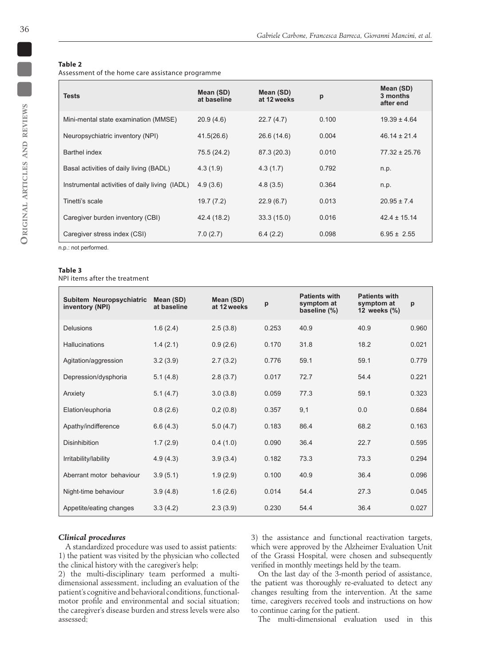## **Table 2**

Assessment of the home care assistance programme

| <b>Tests</b>                                   | Mean (SD)<br>at baseline | Mean (SD)<br>at 12 weeks | p     | Mean (SD)<br>3 months<br>after end |
|------------------------------------------------|--------------------------|--------------------------|-------|------------------------------------|
| Mini-mental state examination (MMSE)           | 20.9(4.6)                | 22.7(4.7)                | 0.100 | $19.39 \pm 4.64$                   |
| Neuropsychiatric inventory (NPI)               | 41.5(26.6)               | 26.6 (14.6)              | 0.004 | $46.14 \pm 21.4$                   |
| Barthel index                                  | 75.5 (24.2)              | 87.3 (20.3)              | 0.010 | $77.32 \pm 25.76$                  |
| Basal activities of daily living (BADL)        | 4.3(1.9)                 | 4.3(1.7)                 | 0.792 | n.p.                               |
| Instrumental activities of daily living (IADL) | 4.9(3.6)                 | 4.8(3.5)                 | 0.364 | n.p.                               |
| Tinetti's scale                                | 19.7(7.2)                | 22.9(6.7)                | 0.013 | $20.95 \pm 7.4$                    |
| Caregiver burden inventory (CBI)               | 42.4 (18.2)              | 33.3(15.0)               | 0.016 | $42.4 \pm 15.14$                   |
| Caregiver stress index (CSI)                   | 7.0(2.7)                 | 6.4(2.2)                 | 0.098 | $6.95 \pm 2.55$                    |

n.p.: not performed.

#### **Table 3**

NPI items after the treatment

| Subitem Neuropsychiatric<br>inventory (NPI) | Mean (SD)<br>at baseline | Mean (SD)<br>at 12 weeks | p     | <b>Patients with</b><br>symptom at<br>baseline (%) | <b>Patients with</b><br>symptom at<br>12 weeks (%) | p     |
|---------------------------------------------|--------------------------|--------------------------|-------|----------------------------------------------------|----------------------------------------------------|-------|
| <b>Delusions</b>                            | 1.6(2.4)                 | 2.5(3.8)                 | 0.253 | 40.9                                               | 40.9                                               | 0.960 |
| Hallucinations                              | 1.4(2.1)                 | 0.9(2.6)                 | 0.170 | 31.8                                               | 18.2                                               | 0.021 |
| Agitation/aggression                        | 3.2(3.9)                 | 2.7(3.2)                 | 0.776 | 59.1                                               | 59.1                                               | 0.779 |
| Depression/dysphoria                        | 5.1(4.8)                 | 2.8(3.7)                 | 0.017 | 72.7                                               | 54.4                                               | 0.221 |
| Anxiety                                     | 5.1(4.7)                 | 3.0(3.8)                 | 0.059 | 77.3                                               | 59.1                                               | 0.323 |
| Elation/euphoria                            | 0.8(2.6)                 | 0,2(0.8)                 | 0.357 | 9,1                                                | 0.0                                                | 0.684 |
| Apathy/indifference                         | 6.6(4.3)                 | 5.0(4.7)                 | 0.183 | 86.4                                               | 68.2                                               | 0.163 |
| <b>Disinhibition</b>                        | 1.7(2.9)                 | 0.4(1.0)                 | 0.090 | 36.4                                               | 22.7                                               | 0.595 |
| Irritability/lability                       | 4.9(4.3)                 | 3.9(3.4)                 | 0.182 | 73.3                                               | 73.3                                               | 0.294 |
| Aberrant motor behaviour                    | 3.9(5.1)                 | 1.9(2.9)                 | 0.100 | 40.9                                               | 36.4                                               | 0.096 |
| Night-time behaviour                        | 3.9(4.8)                 | 1.6(2.6)                 | 0.014 | 54.4                                               | 27.3                                               | 0.045 |
| Appetite/eating changes                     | 3.3(4.2)                 | 2.3(3.9)                 | 0.230 | 54.4                                               | 36.4                                               | 0.027 |

#### *Clinical procedures*

A standardized procedure was used to assist patients: 1) the patient was visited by the physician who collected the clinical history with the caregiver's help;

2) the multi-disciplinary team performed a multidimensional assessment, including an evaluation of the patient's cognitive and behavioral conditions, functionalmotor profile and environmental and social situation; the caregiver's disease burden and stress levels were also assessed;

3) the assistance and functional reactivation targets, which were approved by the Alzheimer Evaluation Unit of the Grassi Hospital, were chosen and subsequently verified in monthly meetings held by the team.

On the last day of the 3-month period of assistance, the patient was thoroughly re-evaluated to detect any changes resulting from the intervention. At the same time, caregivers received tools and instructions on how to continue caring for the patient.

The multi-dimensional evaluation used in this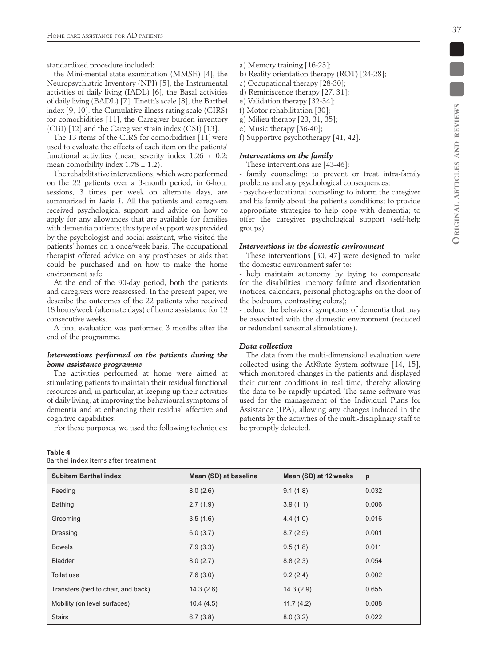standardized procedure included:

the Mini-mental state examination (MMSE) [4], the Neuropsychiatric Inventory (NPI) [5], the Instrumental activities of daily living (IADL) [6], the Basal activities of daily living (BADL) [7], Tinetti's scale [8], the Barthel index [9, 10], the Cumulative illness rating scale (CIRS) for comorbidities [11], the Caregiver burden inventory (CBI) [12] and the Caregiver strain index (CSI) [13].

The 13 items of the CIRS for comorbidities [11] were used to evaluate the effects of each item on the patients' functional activities (mean severity index  $1.26 \pm 0.2$ ; mean comorbility index  $1.78 \pm 1.2$ ).

The rehabilitative interventions, which were performed on the 22 patients over a 3-month period, in 6-hour sessions, 3 times per week on alternate days, are summarized in *Table 1*. All the patients and caregivers received psychological support and advice on how to apply for any allowances that are available for families with dementia patients; this type of support was provided by the psychologist and social assistant, who visited the patients' homes on a once/week basis. The occupational therapist offered advice on any prostheses or aids that could be purchased and on how to make the home environment safe.

At the end of the 90-day period, both the patients and caregivers were reassessed. In the present paper, we describe the outcomes of the 22 patients who received 18 hours/week (alternate days) of home assistance for 12 consecutive weeks.

A final evaluation was performed 3 months after the end of the programme.

## *Interventions performed on the patients during the home assistance programme*

The activities performed at home were aimed at stimulating patients to maintain their residual functional resources and, in particular, at keeping up their activities of daily living, at improving the behavioural symptoms of dementia and at enhancing their residual affective and cognitive capabilities.

For these purposes, we used the following techniques:

#### **Table 4**

Barthel index items after treatment

- a) Memory training [16-23];
- b) Reality orientation therapy (ROT) [24-28];
- c) Occupational therapy [28-30];
- d) Reminiscence therapy [27, 31];
- e) Validation therapy [32-34];
- f) Motor rehabilitation [30];
- g) Milieu therapy [23, 31, 35];
- e) Music therapy [36-40];
- f) Supportive psychotherapy [41, 42].

## *Interventions on the family*

These interventions are [43-46]:

- family counseling: to prevent or treat intra-family problems and any psychological consequences;

- psycho-educational counseling: to inform the caregiver and his family about the patient's conditions; to provide appropriate strategies to help cope with dementia; to offer the caregiver psychological support (self-help groups).

#### *Interventions in the domestic environment*

These interventions [30, 47] were designed to make the domestic environment safer to:

- help maintain autonomy by trying to compensate for the disabilities, memory failure and disorientation (notices, calendars, personal photographs on the door of the bedroom, contrasting colors);

- reduce the behavioral symptoms of dementia that may be associated with the domestic environment (reduced or redundant sensorial stimulations).

# *Data collection*

The data from the multi-dimensional evaluation were collected using the Atl@nte System software [14, 15], which monitored changes in the patients and displayed their current conditions in real time, thereby allowing the data to be rapidly updated. The same software was used for the management of the Individual Plans for Assistance (IPA), allowing any changes induced in the patients by the activities of the multi-disciplinary staff to be promptly detected.

| <b>Subitem Barthel index</b>       | Mean (SD) at baseline | Mean (SD) at 12 weeks | p     |
|------------------------------------|-----------------------|-----------------------|-------|
| Feeding                            | 8.0(2.6)              | 9.1(1.8)              | 0.032 |
| Bathing                            | 2.7(1.9)              | 3.9(1.1)              | 0.006 |
| Grooming                           | 3.5(1.6)              | 4.4(1.0)              | 0.016 |
| Dressing                           | 6.0(3.7)              | 8.7(2,5)              | 0.001 |
| <b>Bowels</b>                      | 7.9(3.3)              | 9.5(1,8)              | 0.011 |
| <b>Bladder</b>                     | 8.0(2.7)              | 8.8(2,3)              | 0.054 |
| Toilet use                         | 7.6(3.0)              | 9.2(2,4)              | 0.002 |
| Transfers (bed to chair, and back) | 14.3(2.6)             | 14.3(2.9)             | 0.655 |
| Mobility (on level surfaces)       | 10.4(4.5)             | 11.7(4.2)             | 0.088 |
| <b>Stairs</b>                      | 6.7(3.8)              | 8.0(3.2)              | 0.022 |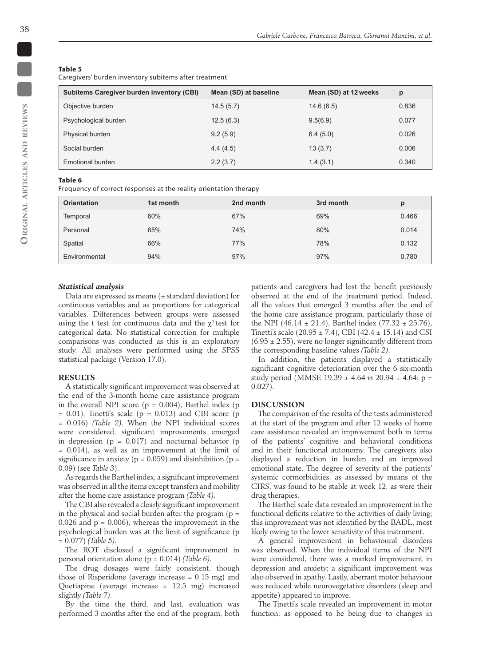#### **Table 5**

Caregivers' burden inventory subitems after treatment

| <b>Subitems Caregiver burden inventory (CBI)</b> | Mean (SD) at baseline | Mean (SD) at 12 weeks | p     |
|--------------------------------------------------|-----------------------|-----------------------|-------|
| Objective burden                                 | 14.5(5.7)             | 14.6(6.5)             | 0.836 |
| Psychological burden                             | 12.5(6.3)             | 9.5(6.9)              | 0.077 |
| Physical burden                                  | 9.2(5.9)              | 6.4(5.0)              | 0.026 |
| Social burden                                    | 4.4(4.5)              | 13(3.7)               | 0.006 |
| Emotional burden                                 | 2.2(3.7)              | 1.4(3.1)              | 0.340 |

#### **Table 6**

Frequency of correct responses at the reality orientation therapy

| <b>Orientation</b> | 1st month | 2nd month | 3rd month | D     |
|--------------------|-----------|-----------|-----------|-------|
| Temporal           | 60%       | 67%       | 69%       | 0.466 |
| Personal           | 65%       | 74%       | 80%       | 0.014 |
| Spatial            | 66%       | 77%       | 78%       | 0.132 |
| Environmental      | 94%       | 97%       | 97%       | 0.780 |

#### *Statistical analysis*

Data are expressed as means  $(± standard deviation)$  for continuous variables and as proportions for categorical variables. Differences between groups were assessed using the t test for continuous data and the  $\chi^2$  test for categorical data. No statistical correction for multiple comparisons was conducted as this is an exploratory study. All analyses were performed using the SPSS statistical package (Version 17.0).

### **RESULTS**

A statistically significant improvement was observed at the end of the 3-month home care assistance program in the overall NPI score ( $p = 0.004$ ), Barthel index ( $p = 0.004$ )  $= 0.01$ ), Tinetti's scale (p  $= 0.013$ ) and CBI score (p = 0.016) *(Table 2)*. When the NPI individual scores were considered, significant improvements emerged in depression ( $p = 0.017$ ) and nocturnal behavior ( $p = 0.017$ )  $= 0.014$ ), as well as an improvement at the limit of significance in anxiety ( $p = 0.059$ ) and disinhibition ( $p =$ 0.09) (see *Table 3*).

As regards the Barthel index, a significant improvement was observed in all the items except transfers and mobility after the home care assistance program *(Table 4)*.

The CBI also revealed a clearly significant improvement in the physical and social burden after the program ( $p =$ 0.026 and  $p = 0.006$ , whereas the improvement in the psychological burden was at the limit of significance (p = 0.077) *(Table 5)*.

The ROT disclosed a significant improvement in personal orientation alone (p = 0.014) *(Table 6)*.

The drug dosages were fairly consistent, though those of Risperidone (average increase  $= 0.15$  mg) and Quetiapine (average increase = 12.5 mg) increased slightly *(Table 7)*.

By the time the third, and last, evaluation was performed 3 months after the end of the program, both patients and caregivers had lost the benefit previously observed at the end of the treatment period. Indeed, all the values that emerged 3 months after the end of the home care assistance program, particularly those of the NPI (46.14  $\pm$  21.4), Barthel index (77.32  $\pm$  25.76), Tinetti's scale (20.95  $\pm$  7.4), CBI (42.4  $\pm$  15.14) and CSI  $(6.95 \pm 2.55)$ , were no longer significantly different from the corresponding baseline values *(Table 2)*.

In addition, the patients displayed a statistically significant cognitive deterioration over the 6 six-month study period (MMSE 19.39 ± 4.64 *vs* 20.94 ± 4.64; p = 0.027).

#### **DISCUSSION**

The comparison of the results of the tests administered at the start of the program and after 12 weeks of home care assistance revealed an improvement both in terms of the patients' cognitive and behavioral conditions and in their functional autonomy. The caregivers also displayed a reduction in burden and an improved emotional state. The degree of severity of the patients' systemic cormorbidities, as assessed by means of the CIRS, was found to be stable at week 12, as were their drug therapies.

The Barthel scale data revealed an improvement in the functional deficits relative to the activities of daily living; this improvement was not identified by the BADL, most likely owing to the lower sensitivity of this instrument.

A general improvement in behavioural disorders was observed. When the individual items of the NPI were considered, there was a marked improvement in depression and anxiety; a significant improvement was also observed in apathy. Lastly, aberrant motor behaviour was reduced while neurovegetative disorders (sleep and appetite) appeared to improve.

The Tinetti's scale revealed an improvement in motor function; as opposed to be being due to changes in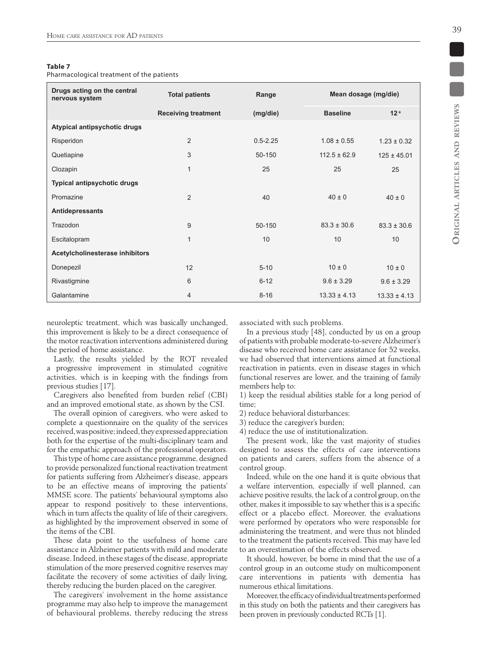## **Table 7**

Pharmacological treatment of the patients

| Drugs acting on the central<br>nervous system | <b>Total patients</b>      | Range        | Mean dosage (mg/die) |                  |
|-----------------------------------------------|----------------------------|--------------|----------------------|------------------|
|                                               | <b>Receiving treatment</b> | (mg/die)     | <b>Baseline</b>      | 12 <sup>a</sup>  |
| Atypical antipsychotic drugs                  |                            |              |                      |                  |
| Risperidon                                    | $\overline{2}$             | $0.5 - 2.25$ | $1.08 \pm 0.55$      | $1.23 \pm 0.32$  |
| Quetiapine                                    | 3                          | 50-150       | $112.5 \pm 62.9$     | $125 \pm 45.01$  |
| Clozapin                                      | 1                          | 25           | 25                   | 25               |
| Typical antipsychotic drugs                   |                            |              |                      |                  |
| Promazine                                     | $\overline{2}$             | 40           | $40 \pm 0$           | $40 \pm 0$       |
| Antidepressants                               |                            |              |                      |                  |
| Trazodon                                      | 9                          | 50-150       | $83.3 \pm 30.6$      | $83.3 \pm 30.6$  |
| Escitalopram                                  | $\mathbf{1}$               | 10           | 10                   | 10               |
| Acetylcholinesterase inhibitors               |                            |              |                      |                  |
| Donepezil                                     | 12                         | $5 - 10$     | $10 \pm 0$           | $10 \pm 0$       |
| Rivastigmine                                  | 6                          | $6 - 12$     | $9.6 \pm 3.29$       | $9.6 \pm 3.29$   |
| Galantamine                                   | 4                          | $8 - 16$     | $13.33 \pm 4.13$     | $13.33 \pm 4.13$ |

neuroleptic treatment, which was basically unchanged, this improvement is likely to be a direct consequence of the motor reactivation interventions administered during the period of home assistance.

Lastly, the results yielded by the ROT revealed a progressive improvement in stimulated cognitive activities, which is in keeping with the findings from previous studies [17].

Caregivers also benefited from burden relief (CBI) and an improved emotional state, as shown by the CSI.

The overall opinion of caregivers, who were asked to complete a questionnaire on the quality of the services received, was positive; indeed, they expressed appreciation both for the expertise of the multi-disciplinary team and for the empathic approach of the professional operators.

This type of home care assistance programme, designed to provide personalized functional reactivation treatment for patients suffering from Alzheimer's disease, appears to be an effective means of improving the patients' MMSE score. The patients' behavioural symptoms also appear to respond positively to these interventions, which in turn affects the quality of life of their caregivers, as highlighted by the improvement observed in some of the items of the CBI.

These data point to the usefulness of home care assistance in Alzheimer patients with mild and moderate disease. Indeed, in these stages of the disease, appropriate stimulation of the more preserved cognitive reserves may facilitate the recovery of some activities of daily living, thereby reducing the burden placed on the caregiver.

The caregivers' involvement in the home assistance programme may also help to improve the management of behavioural problems, thereby reducing the stress associated with such problems.

In a previous study  $[48]$ , conducted by us on a group of patients with probable moderate-to-severe Alzheimer's disease who received home care assistance for 52 weeks, we had observed that interventions aimed at functional reactivation in patients, even in disease stages in which functional reserves are lower, and the training of family members help to:

1) keep the residual abilities stable for a long period of time;

2) reduce behavioral disturbances;

3) reduce the caregiver's burden;

4) reduce the use of institutionalization.

The present work, like the vast majority of studies designed to assess the effects of care interventions on patients and carers, suffers from the absence of a control group.

Indeed, while on the one hand it is quite obvious that a welfare intervention, especially if well planned, can achieve positive results, the lack of a control group, on the other, makes it impossible to say whether this is a specific effect or a placebo effect. Moreover, the evaluations were performed by operators who were responsible for administering the treatment, and were thus not blinded to the treatment the patients received. This may have led to an overestimation of the effects observed.

It should, however, be borne in mind that the use of a control group in an outcome study on multicomponent care interventions in patients with dementia has numerous ethical limitations.

Moreover, the efficacy of individual treatments performed in this study on both the patients and their caregivers has been proven in previously conducted RCTs [1].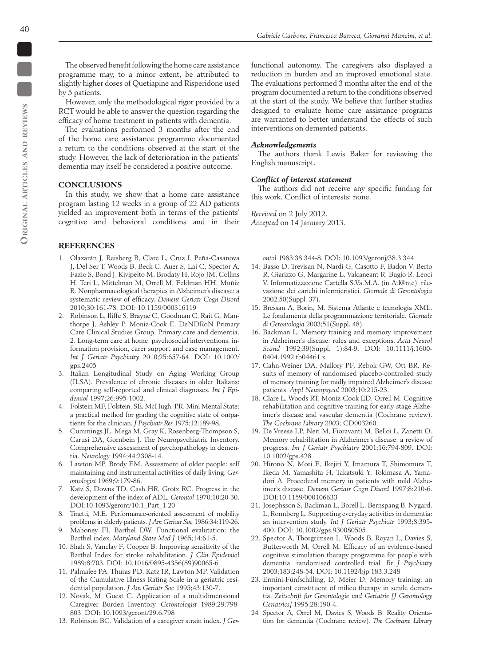The observed benefit following the home care assistance programme may, to a minor extent, be attributed to slightly higher doses of Quetiapine and Risperidone used by 5 patients.

However, only the methodological rigor provided by a RCT would be able to answer the question regarding the efficacy of home treatment in patients with dementia.

The evaluations performed 3 months after the end of the home care assistance programme documented a return to the conditions observed at the start of the study. However, the lack of deterioration in the patients' dementia may itself be considered a positive outcome.

# **CONCLUSIONS**

In this study, we show that a home care assistance program lasting 12 weeks in a group of 22 AD patients yielded an improvement both in terms of the patients' cognitive and behavioral conditions and in their

#### **References**

- 1. Olazarán J, Reisberg B, Clare L, Cruz I, Peña-Casanova J, Del Ser T, Woods B, Beck C, Auer S, Lai C, Spector A, Fazio S, Bond J, Kivipelto M, Brodaty H, Rojo JM, Collins H, Teri L, Mittelman M, Orrell M, Feldman HH, Muñiz R. Nonpharmacological therapies in Alzheimer's disease: a systematic review of efficacy. *Dement Geriatr Cogn Disord* 2010;30:161-78. DOI: 10.1159/000316119
- 2. Robinson L, Iliffe S, Brayne C, Goodman C, Rait G, Manthorpe J, Ashley P, Moniz-Cook E, DeNDRoN Primary Care Clinical Studies Group. Primary care and dementia. 2. Long-term care at home: psychosocial interventions, information provision, carer support and case management. *Int J Geriatr Psychiatry* 2010;25:657-64. DOI: 10.1002/ gps.2405
- 3. Italian Longitudinal Study on Aging Working Group (ILSA). Prevalence of chronic diseases in older Italians: comparing self-reported and clinical diagnoses*. Int J Epidemiol* 1997;26:995-1002.
- 4. Folstein MF, Folstein, SE, McHugh, PR. Mini Mental State: a practical method for grading the cognitive state of outpatients for the clinician. *J Psychiatr Res* 1975;12:189-98.
- 5. Cummings JL, Mega M, Gray K, Rosenberg-Thompson S, Carusi DA, Gornbein J. The Neuropsychiatric Inventory. Comprehensive assessment of psychopathology in dementia. *Neurology* 1994;44:2308-14.
- 6. Lawton MP, Brody EM. Assessment of older people: self maintaining and instrumental activities of daily living. *Gerontologist* 1969;9:179-86.
- 7. Katz S, Downs TD, Cash HR, Grotz RC. Progress in the development of the index of ADL*. Gerontol* 1970;10:20-30. DOI:10.1093/geront/10.1\_Part\_1.20
- 8. Tinetti, M.E. Performance-oriented assessment of mobility problems in elderly patients. *J Am Geriatr Soc* 1986;34:119-26.
- 9. Mahoney FI, Barthel DW. Functional evalutation: the Barthel index. *Maryland State Med J* 1965;14:61-5.
- 10. Shah S, Vanclay F, Cooper B. Improving sensitivity of the Barthel Index for stroke rehabilitation. *J Clin Epidemiol* 1989;8:703. DOI: 10.1016/0895-4356(89)90065-6
- 11. Palmalee PA, Thuras PD, Katz IR, Lawton MP. Validation of the Cumulative Illness Rating Scale in a geriatric residential population. *J Am Geriatr Soc* 1995;43:130-7.
- 12. Novak, M, Guest C. Application of a multidimensional Caregiver Burden Inventory. *Gerontologist* 1989;29:798- 803. DOI: 10.1093/geront/29.6.798
- 13. Robinson BC. Validation of a caregiver strain index. *J Ger-*

functional autonomy. The caregivers also displayed a reduction in burden and an improved emotional state. The evaluations performed 3 months after the end of the program documented a return to the conditions observed at the start of the study. We believe that further studies designed to evaluate home care assistance programs are warranted to better understand the effects of such interventions on demented patients.

#### *Acknowledgements*

The authors thank Lewis Baker for reviewing the English manuscript.

### *Conflict of interest statement*

The authors did not receive any specific funding for this work. Conflict of interests: none.

*Received* on 2 July 2012. *Accepted* on 14 January 2013.

*ontol* 1983;38:344-8. DOI: 10.1093/geronj/38.3.344

- 14. Basso D, Trevisan N, Nardi G, Casotto F, Badon V, Berto R, Giarizzo G, Margarine L, Valcaneant R, Bugio R, Leoci V. Informatizzazione Cartella S.Va.M.A. (in Atl@nte): rilevazione dei carichi infermieristici. *Giornale di Gerontologia* 2002;50(Suppl. 37).
- 15. Bressan A, Borin, M. Sistema Atlante e tecnologia XML. Le fondamenta della programmazione territoriale. *Giornale di Gerontologia* 2003;51(Suppl. 48).
- 16. Backman L. Memory training and memory improvement in Alzheimer's disease: rules and exceptions. *Acta Neurol Scand* 1992;39(Suppl. 1):84-9. DOI: 10.1111/j.1600- 0404.1992.tb04461.x
- 17. Cahn-Weiner DA, Mallory PF, Rebok GW, Ott BR. Results of memory of randomised placebo-controlled study of memory training for midly impaired Alzheimer's disease patients. *Appl Neuropsycol* 2003;10:215-23.
- 18. Clare L, Woods RT, Moniz-Cook ED, Orrell M. Cognitive rehabilitation and cognitive training for early-stage Alzheimer's disease and vascular dementia (Cochrane review). *The Cochrane Library 2003*; CD003260.
- 19. De Vreese LP, Neri M, Fioravanti M, Belloi L, Zanetti O. Memory rehabilitation in Alzheimer's disease: a review of progress. *Int J Geriatr Psychiatry* 2001;16:794-809. DOI: 10.1002/gps.428
- 20. Hirono N, Mori E, Ikejiri Y, Imamura T, Shimomura T, Ikeda M, Yamashita H, Takatsuki Y, Tokimasa A, Yamadori A. Procedural memory in patients with mild Alzheimer's disease. *Dement Geriatr Cogn Disord* 1997;8:210-6. DOI:10.1159/000106633
- 21. Josephsson S, Backman L, Borell L, Bernspang B, Nygard, L, Ronnberg L. Supporting everyday activities in dementia: an intervention study. *Int J Geriatr Psychiatr* 1993;8:395- 400. DOI: 10.1002/gps.930080505
- 22. Spector A, Thorgrimsen L, Woods B, Royan L, Davies S, Butterworth M, Orrell M. Efficacy of an evidence-based cognitive stimulation therapy programme for people with dementia: randomised controlled trial. *Br J Psychiatry* 2003;183:248-54. DOI: 10.1192/bjp.183.3.248
- 23. Ermini-Fünfschilling, D, Meier D. Memory training: an important constituent of milieu therapy in senile dementia. *Zeitschrift fur Gerontologie und Geriatrie [J Gerontology Geriatrics]* 1995;28:190-4.
- 24. Spector A, Orrel M, Davies S, Woods B. Reality Orientation for dementia (Cochrane review). *The Cochrane Library*